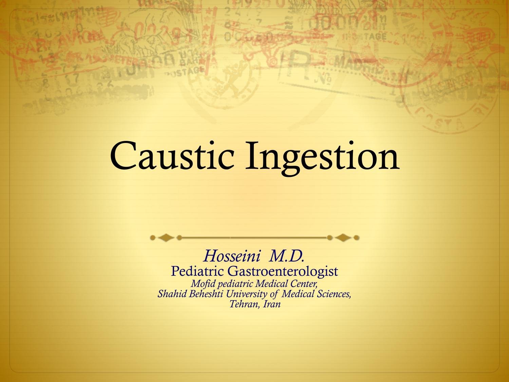# Caustic Ingestion

*Hosseini M.D.* Pediatric Gastroenterologist *Mofid pediatric Medical Center, Shahid Beheshti University of Medical Sciences, Tehran, Iran*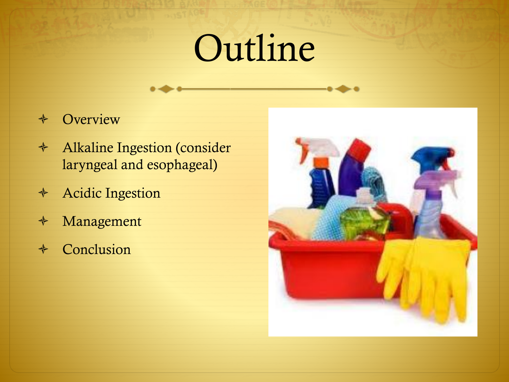## Outline

#### Overview

- Alkaline Ingestion (consider laryngeal and esophageal)
- Acidic Ingestion
- Management
- Conclusion

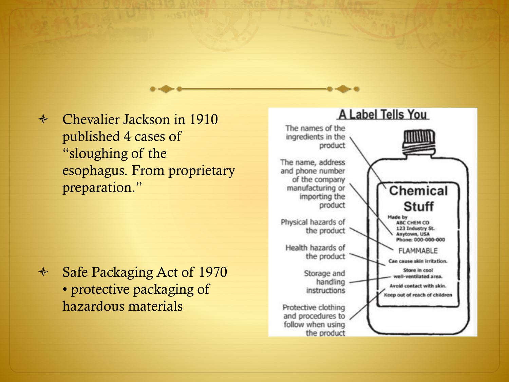Chevalier Jackson in 1910 published 4 cases of "sloughing of the esophagus. From proprietary preparation."

 Safe Packaging Act of 1970 • protective packaging of hazardous materials

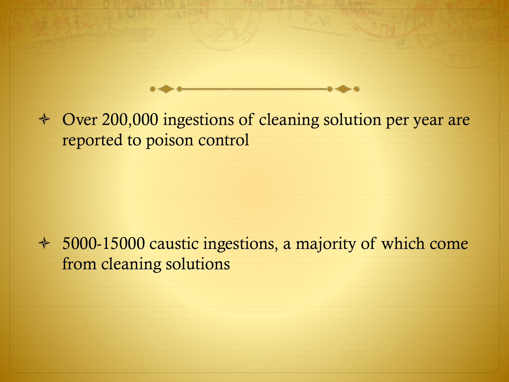Over 200,000 ingestions of cleaning solution per year are reported to poison control

 5000-15000 caustic ingestions, a majority of which come from cleaning solutions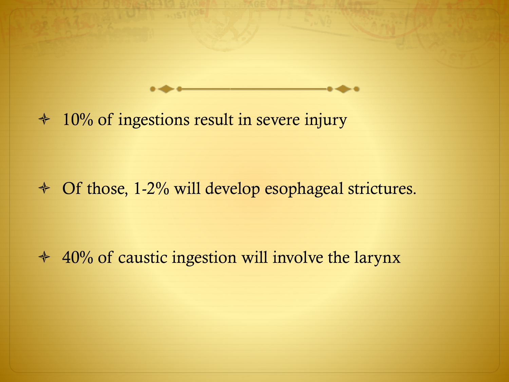$\div$  10% of ingestions result in severe injury

Of those, 1-2% will develop esophageal strictures.

 $\div$  40% of caustic ingestion will involve the larynx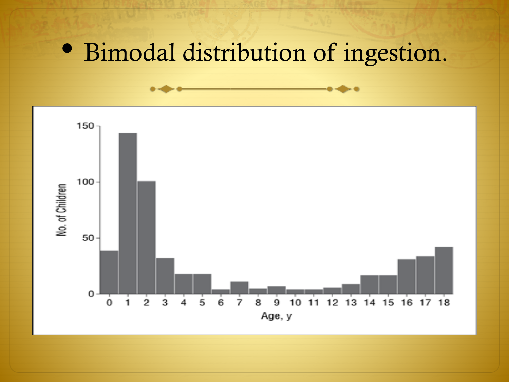### • Bimodal distribution of ingestion.

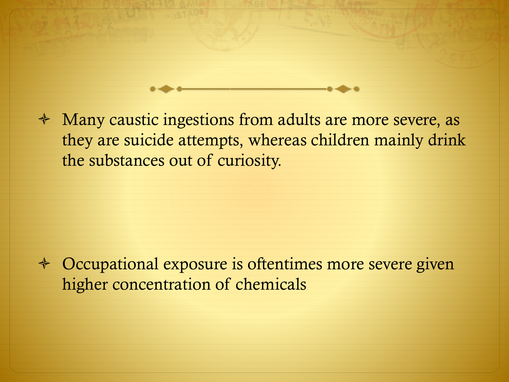Many caustic ingestions from adults are more severe, as they are suicide attempts, whereas children mainly drink the substances out of curiosity.

 Occupational exposure is oftentimes more severe given higher concentration of chemicals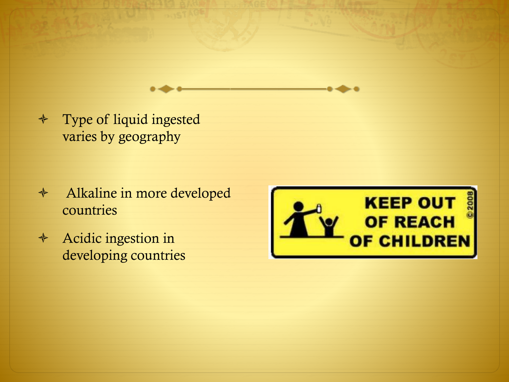Type of liquid ingested varies by geography

- Alkaline in more developed countries
- Acidic ingestion in developing countries

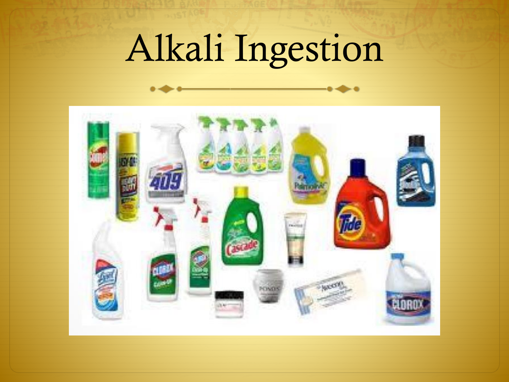# Alkali Ingestion

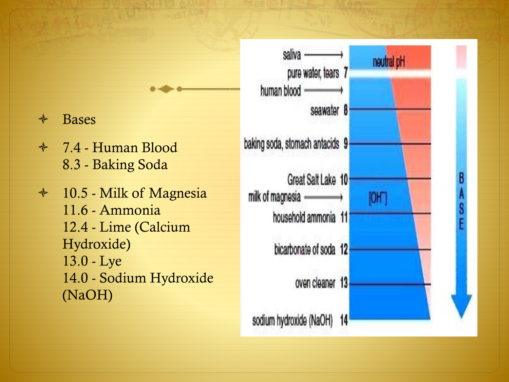#### Bases

- 7.4 Human Blood 8.3 - Baking Soda
- 10.5 Milk of Magnesia 11.6 - Ammonia 12.4 - Lime (Calcium Hydroxide) 13.0 - Lye 14.0 - Sodium Hydroxide (NaOH)

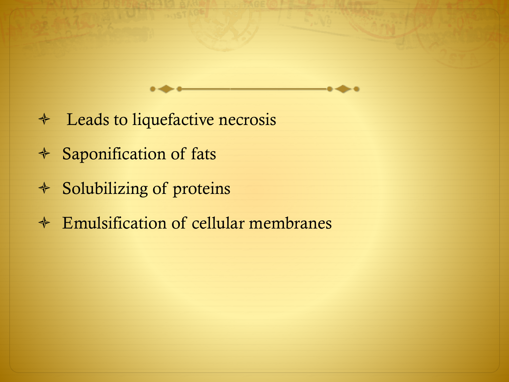- Leads to liquefactive necrosis
- Saponification of fats
- Solubilizing of proteins
- Emulsification of cellular membranes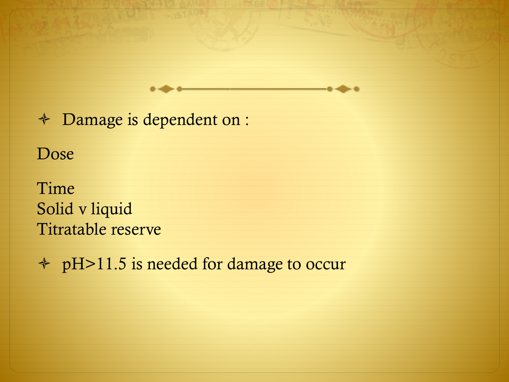Damage is dependent on :

Dose

Time Solid v liquid Titratable reserve

pH>11.5 is needed for damage to occur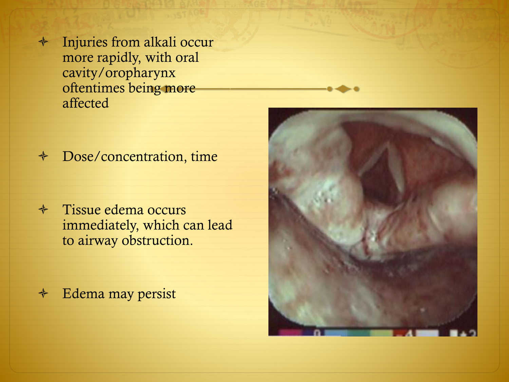Injuries from alkali occur more rapidly, with oral cavity/oropharynx oftentimes being more affected

- Dose/concentration, time
- Tissue edema occurs immediately, which can lead to airway obstruction.
- Edema may persist

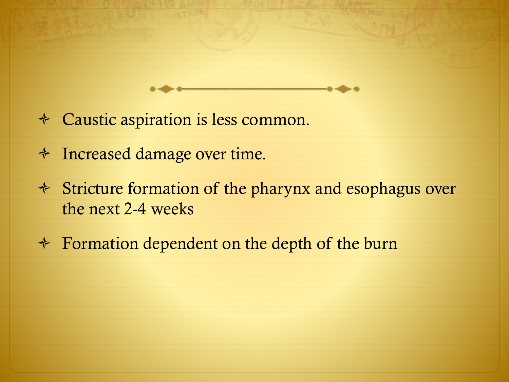- Caustic aspiration is less common.
- Increased damage over time.
- Stricture formation of the pharynx and esophagus over the next 2-4 weeks
- $\triangle$  Formation dependent on the depth of the burn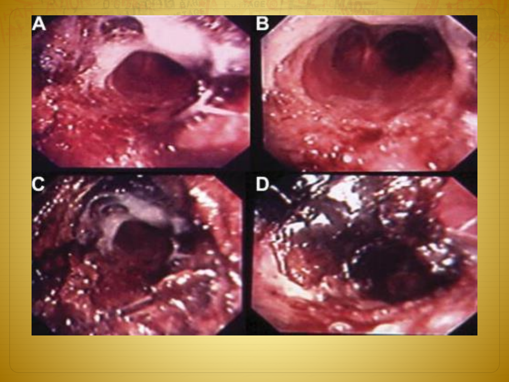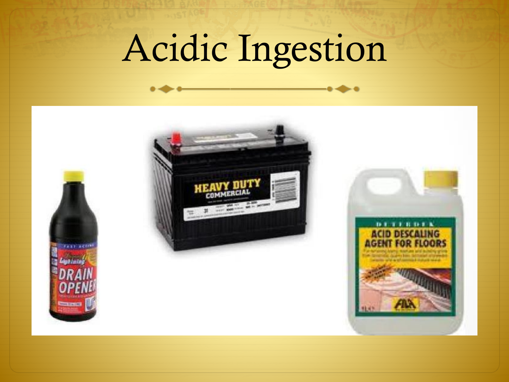# Acidic Ingestion



**AXT-ACTI** 

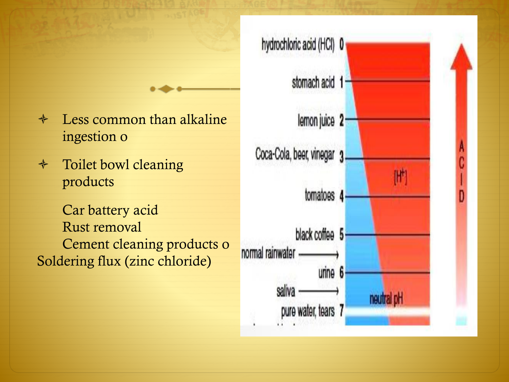- $\triangleleft$  Less common than alkaline ingestion o
- Toilet bowl cleaning products

Car battery acid Rust removal Cement cleaning products o Soldering flux (zinc chloride)

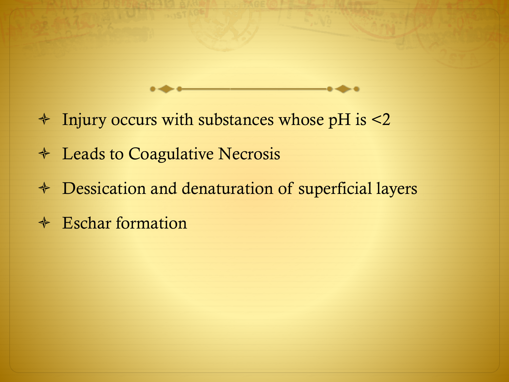- $\div$  Injury occurs with substances whose pH is <2
- Leads to Coagulative Necrosis
- Dessication and denaturation of superficial layers
- Eschar formation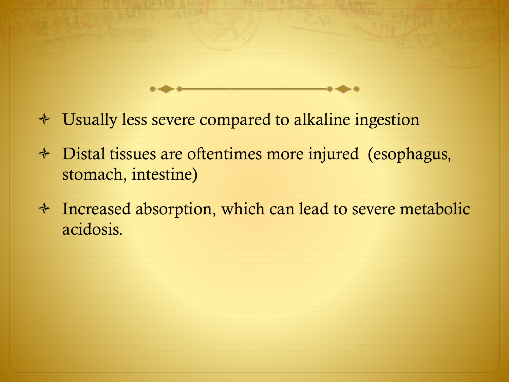- Usually less severe compared to alkaline ingestion
- Distal tissues are oftentimes more injured (esophagus, stomach, intestine)
- $\triangle$  Increased absorption, which can lead to severe metabolic acidosis.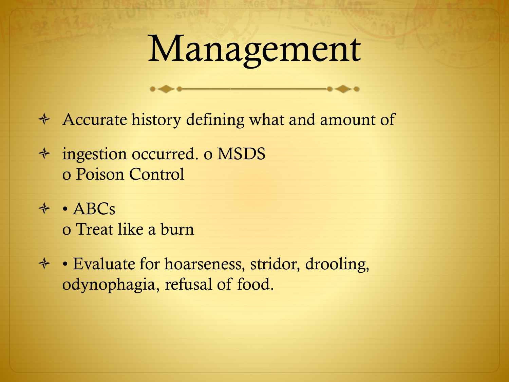## Management

- $\triangleleft$  Accurate history defining what and amount of
- $\triangleq$  ingestion occurred. o MSDS o Poison Control
- ABCs o Treat like a burn
- Evaluate for hoarseness, stridor, drooling, odynophagia, refusal of food.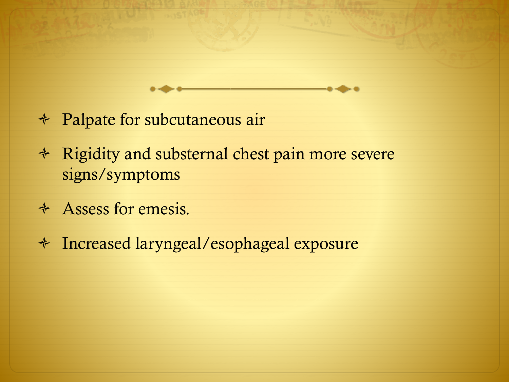- Palpate for subcutaneous air
- Rigidity and substernal chest pain more severe signs/symptoms
- **↑ Assess for emesis.**
- Increased laryngeal/esophageal exposure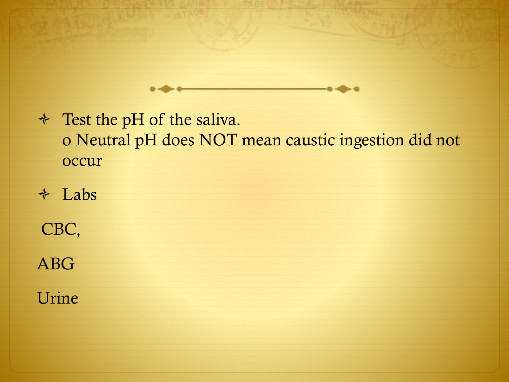- Test the pH of the saliva. o Neutral pH does NOT mean caustic ingestion did not occur
- Labs
- CBC,
- ABG
- Urine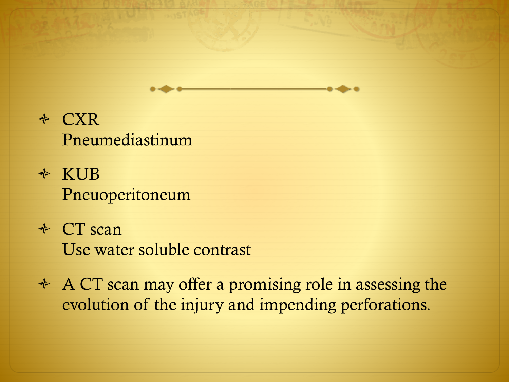- CXR Pneumediastinum
- KUB Pneuoperitoneum
- **↑ CT scan** Use water soluble contrast
- A CT scan may offer a promising role in assessing the evolution of the injury and impending perforations.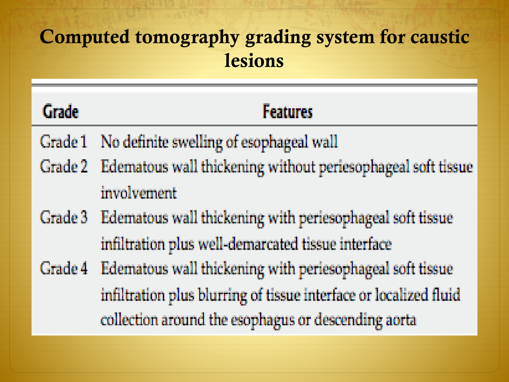### **Computed tomography grading system for caustic lesions**

| Grade   | <b>Features</b>                                                      |  |
|---------|----------------------------------------------------------------------|--|
|         | Grade 1 No definite swelling of esophageal wall                      |  |
|         | Grade 2 Edematous wall thickening without periesophageal soft tissue |  |
|         | involvement                                                          |  |
|         | Grade 3 Edematous wall thickening with periesophageal soft tissue    |  |
|         | infiltration plus well-demarcated tissue interface                   |  |
| Grade 4 | Edematous wall thickening with periesophageal soft tissue            |  |
|         | infiltration plus blurring of tissue interface or localized fluid    |  |
|         | collection around the esophagus or descending aorta                  |  |
|         |                                                                      |  |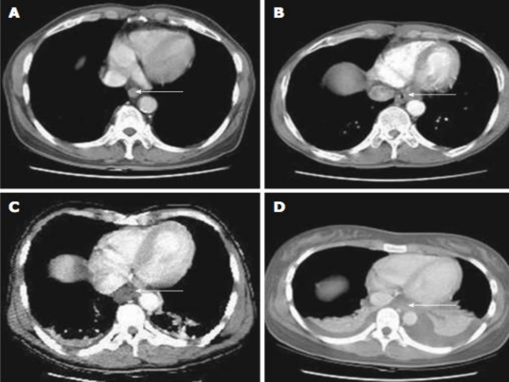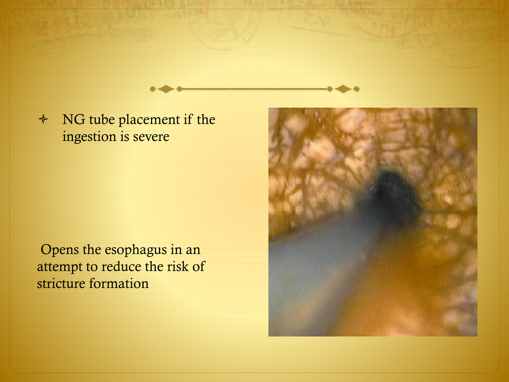NG tube placement if the ingestion is severe

Opens the esophagus in an attempt to reduce the risk of stricture formation

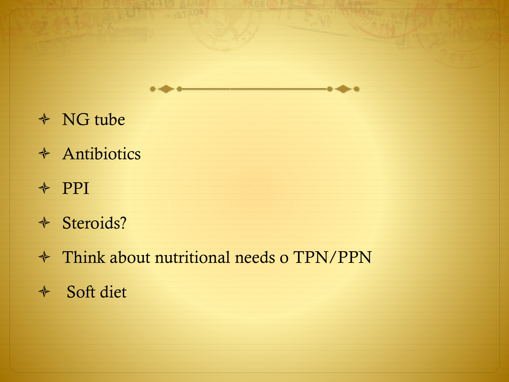- NG tube
- **Antibiotics**
- $\triangle$  PPI
- **↑** Steroids?
- Think about nutritional needs o TPN/PPN
- Soft diet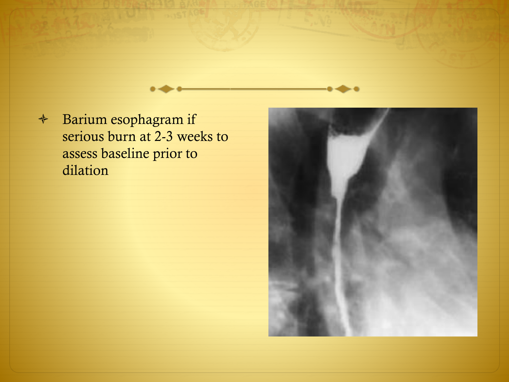Barium esophagram if serious burn at 2-3 weeks to assess baseline prior to dilation

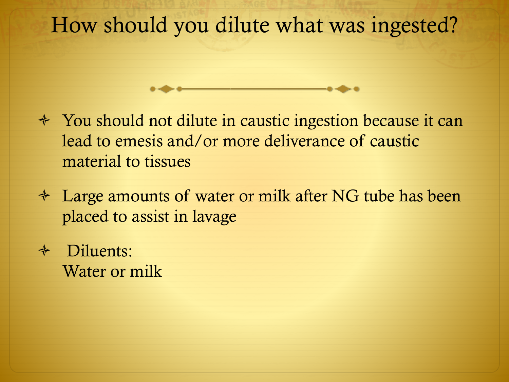### How should you dilute what was ingested?

- You should not dilute in caustic ingestion because it can lead to emesis and/or more deliverance of caustic material to tissues
- Large amounts of water or milk after NG tube has been placed to assist in lavage
- Diluents: Water or milk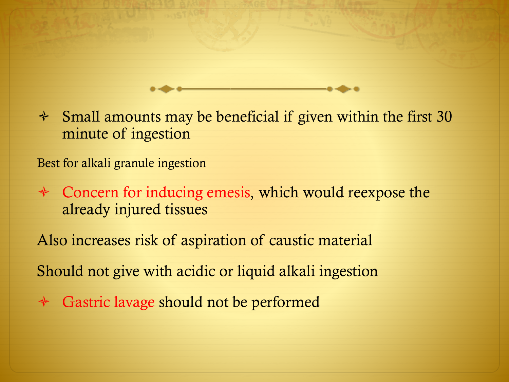$\div$  Small amounts may be beneficial if given within the first 30 minute of ingestion

Best for alkali granule ingestion

 Concern for inducing emesis, which would reexpose the already injured tissues

Also increases risk of aspiration of caustic material

Should not give with acidic or liquid alkali ingestion

**← Gastric lavage should not be performed**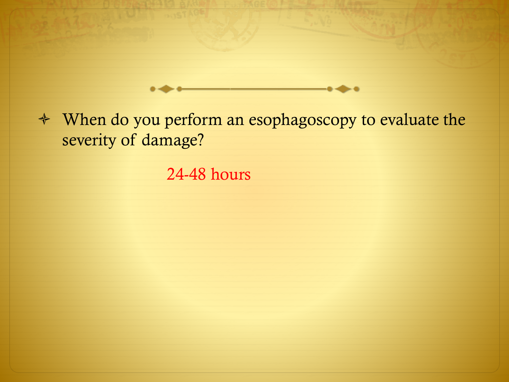When do you perform an esophagoscopy to evaluate the severity of damage?

24-48 hours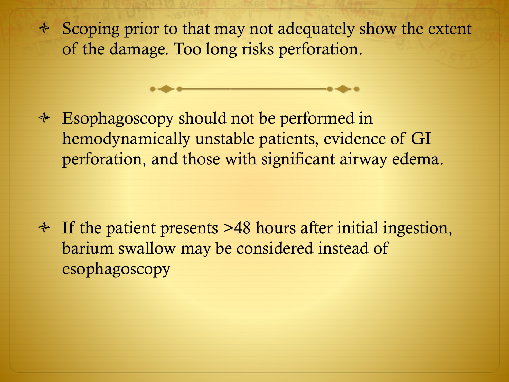$\triangle$  Scoping prior to that may not adequately show the extent of the damage. Too long risks perforation.

 Esophagoscopy should not be performed in hemodynamically unstable patients, evidence of GI perforation, and those with significant airway edema.

 $\div$  If the patient presents >48 hours after initial ingestion, barium swallow may be considered instead of esophagoscopy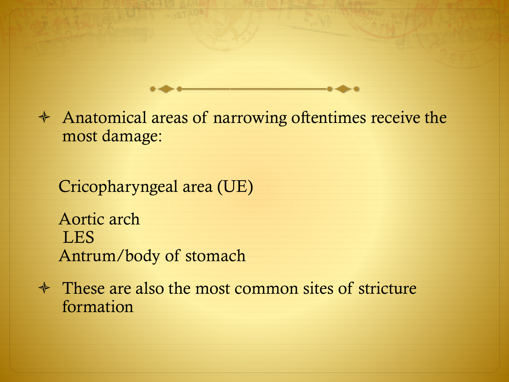Anatomical areas of narrowing oftentimes receive the most damage:

Cricopharyngeal area (UE) Aortic arch LES Antrum/body of stomach

<sup> $\div$ </sup> These are also the most common sites of stricture formation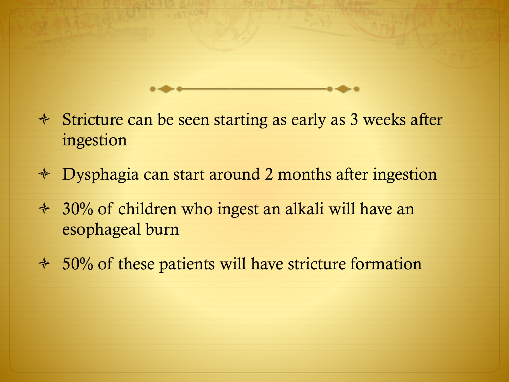- Stricture can be seen starting as early as 3 weeks after ingestion
- Dysphagia can start around 2 months after ingestion
- 30% of children who ingest an alkali will have an esophageal burn
- $\div$  50% of these patients will have stricture formation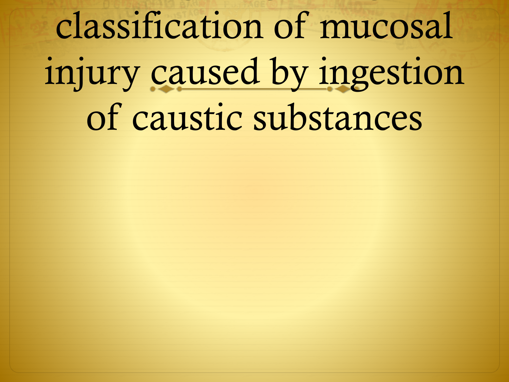classification of mucosal injury caused by ingestion of caustic substances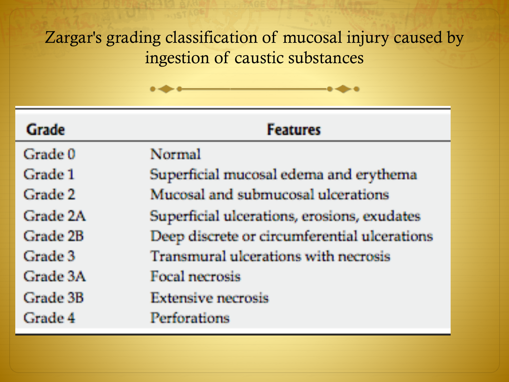Zargar's grading classification of mucosal injury caused by ingestion of caustic substances

| Grade    | <b>Features</b>                              |
|----------|----------------------------------------------|
| Grade 0  | Normal                                       |
| Grade 1  | Superficial mucosal edema and erythema       |
| Grade 2  | Mucosal and submucosal ulcerations           |
| Grade 2A | Superficial ulcerations, erosions, exudates  |
| Grade 2B | Deep discrete or circumferential ulcerations |
| Grade 3  | Transmural ulcerations with necrosis         |
| Grade 3A | Focal necrosis                               |
| Grade 3B | <b>Extensive necrosis</b>                    |
| Grade 4  | Perforations                                 |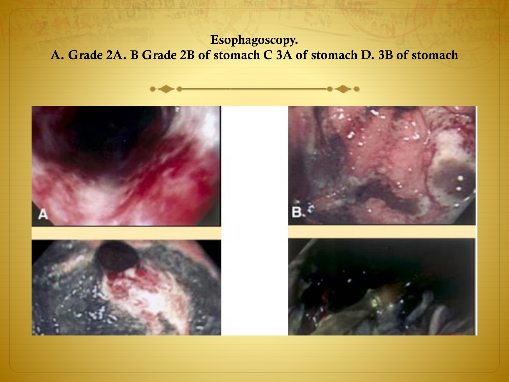#### **Esophagoscopy. A. Grade 2A. B Grade 2B of stomach C 3A of stomach D. 3B of stomach**





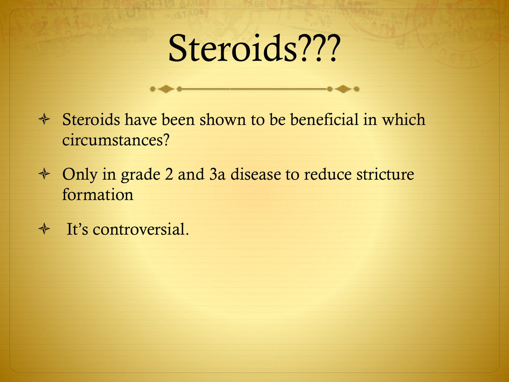## Steroids???

- $\triangle$  Steroids have been shown to be beneficial in which circumstances?
- Only in grade 2 and 3a disease to reduce stricture formation
- It's controversial.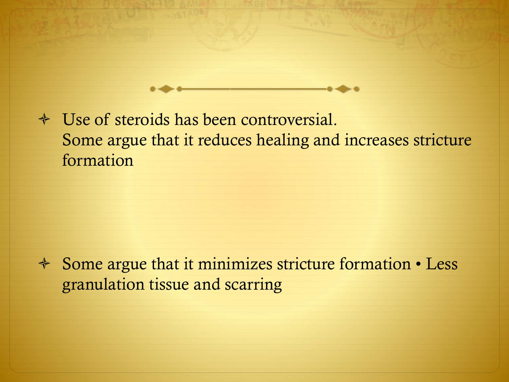Use of steroids has been controversial. Some argue that it reduces healing and increases stricture formation

 Some argue that it minimizes stricture formation • Less granulation tissue and scarring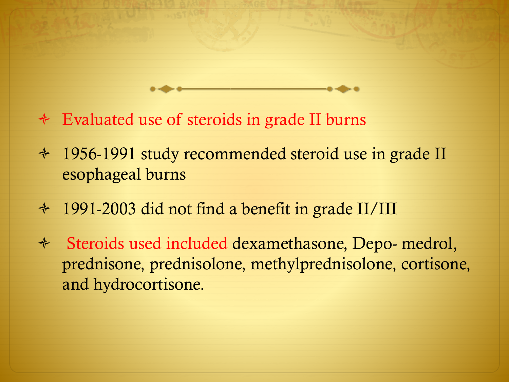- Evaluated use of steroids in grade II burns
- 1956-1991 study recommended steroid use in grade II esophageal burns
- 1991-2003 did not find a benefit in grade II/III
- Steroids used included dexamethasone, Depo- medrol, prednisone, prednisolone, methylprednisolone, cortisone, and hydrocortisone.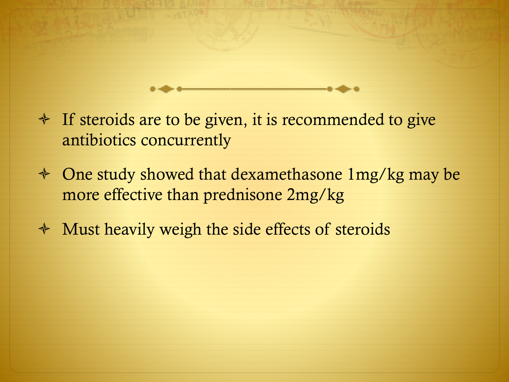- $\triangle$  If steroids are to be given, it is recommended to give antibiotics concurrently
- One study showed that dexamethasone 1mg/kg may be more effective than prednisone 2mg/kg
- Must heavily weigh the side effects of steroids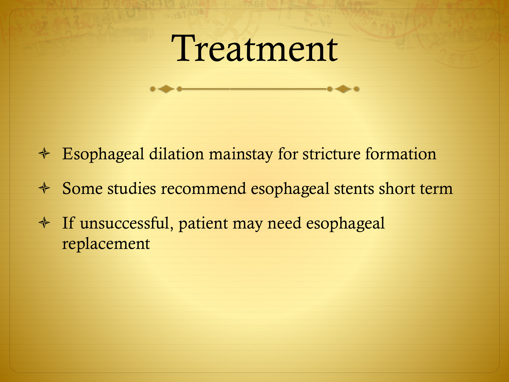### Treatment

- Esophageal dilation mainstay for stricture formation
- Some studies recommend esophageal stents short term
- If unsuccessful, patient may need esophageal replacement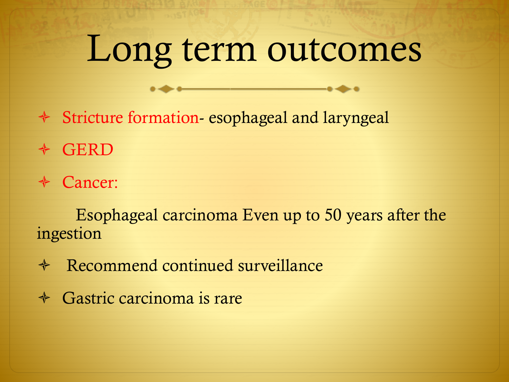### Long term outcomes

Stricture formation- esophageal and laryngeal

GERD

Cancer:

Esophageal carcinoma Even up to 50 years after the ingestion

- $\triangleleft$  Recommend continued surveillance
- **↑ Gastric carcinoma is rare**